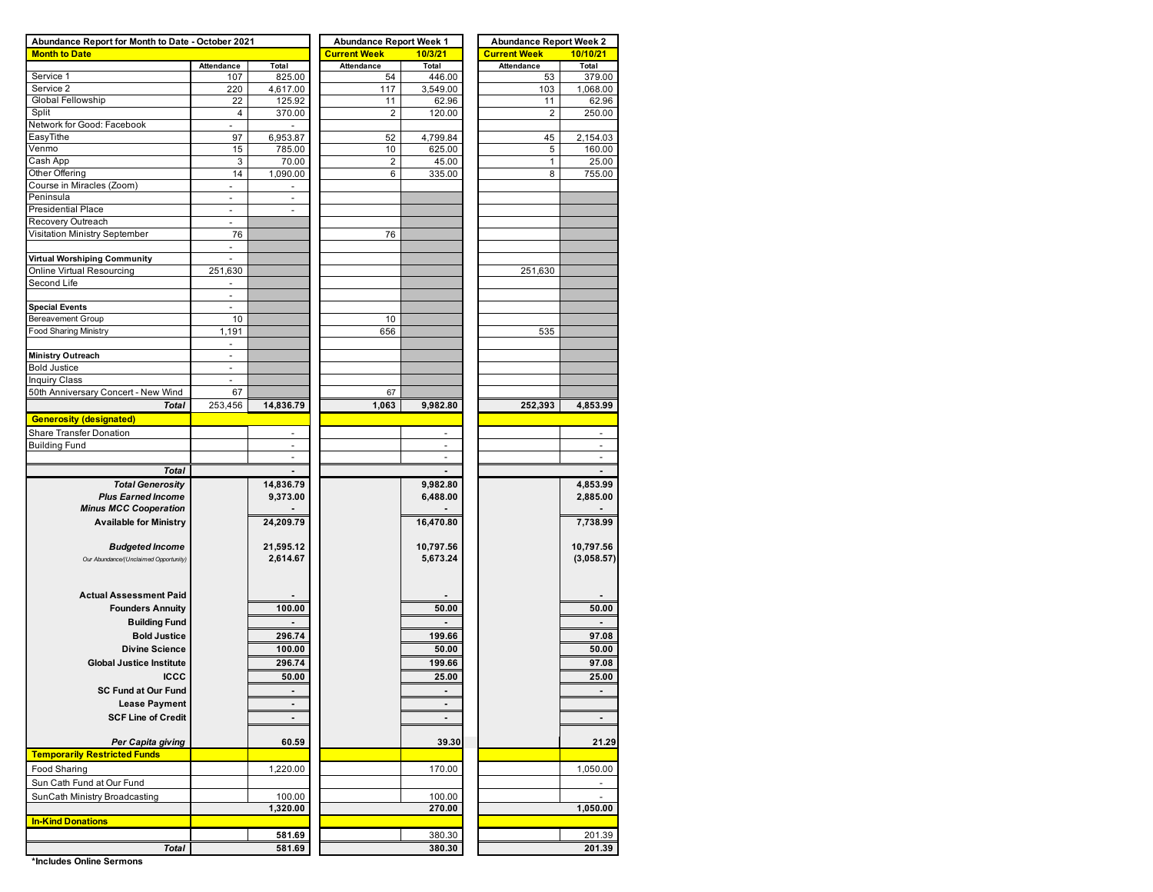| Abundance Report for Month to Date - October 2021 |                          |                          | <b>Abundance Report Week 1</b> |                | <b>Abundance Report Week 2</b> |                |  |  |  |  |  |
|---------------------------------------------------|--------------------------|--------------------------|--------------------------------|----------------|--------------------------------|----------------|--|--|--|--|--|
| <b>Month to Date</b>                              |                          |                          | <b>Current Week</b>            | 10/3/21        | <b>Current Week</b>            | 10/10/21       |  |  |  |  |  |
|                                                   | Attendance               | Total                    | <b>Attendance</b>              | Total          | <b>Attendance</b>              | Total          |  |  |  |  |  |
| Service 1                                         | 107                      | 825.00                   | 54                             | 446.00         | 53                             | 379.00         |  |  |  |  |  |
| Service 2                                         | 220                      | 4,617.00                 | 117                            | 3,549.00       | 103                            | 1,068.00       |  |  |  |  |  |
| Global Fellowship                                 | 22                       | 125.92                   | 11                             | 62.96          | 11                             | 62.96          |  |  |  |  |  |
| Split                                             | $\overline{4}$           | 370.00                   | $\overline{2}$                 | 120.00         | $\overline{2}$                 | 250.00         |  |  |  |  |  |
| Network for Good: Facebook                        |                          |                          |                                |                |                                |                |  |  |  |  |  |
| EasyTithe                                         | 97                       | 6,953.87                 | 52                             | 4,799.84       | 45                             | 2,154.03       |  |  |  |  |  |
| Venmo                                             | 15                       | 785.00                   | 10                             | 625.00         | 5                              | 160.00         |  |  |  |  |  |
| Cash App                                          | 3                        | 70.00                    | 2                              | 45.00          | 1                              | 25.00          |  |  |  |  |  |
| Other Offering                                    | 14                       | 1,090.00                 | 6                              | 335.00         | 8                              | 755.00         |  |  |  |  |  |
| Course in Miracles (Zoom)                         | ÷,                       |                          |                                |                |                                |                |  |  |  |  |  |
| Peninsula                                         | $\sim$                   | $\blacksquare$           |                                |                |                                |                |  |  |  |  |  |
| <b>Presidential Place</b>                         | $\overline{\phantom{a}}$ | $\overline{\phantom{a}}$ |                                |                |                                |                |  |  |  |  |  |
| Recovery Outreach                                 |                          |                          |                                |                |                                |                |  |  |  |  |  |
| Visitation Ministry September                     | 76                       |                          | 76                             |                |                                |                |  |  |  |  |  |
|                                                   | $\overline{\phantom{a}}$ |                          |                                |                |                                |                |  |  |  |  |  |
| Virtual Worshiping Community                      | $\overline{\phantom{a}}$ |                          |                                |                |                                |                |  |  |  |  |  |
| Online Virtual Resourcing                         | 251,630                  |                          |                                |                | 251,630                        |                |  |  |  |  |  |
| Second Life                                       | $\sim$                   |                          |                                |                |                                |                |  |  |  |  |  |
|                                                   | $\blacksquare$           |                          |                                |                |                                |                |  |  |  |  |  |
| <b>Special Events</b>                             | $\omega$                 |                          |                                |                |                                |                |  |  |  |  |  |
| <b>Bereavement Group</b>                          | 10                       |                          | 10                             |                |                                |                |  |  |  |  |  |
| <b>Food Sharing Ministry</b>                      | 1,191                    |                          | 656                            |                | 535                            |                |  |  |  |  |  |
|                                                   | $\sim$                   |                          |                                |                |                                |                |  |  |  |  |  |
| <b>Ministry Outreach</b>                          | $\overline{\phantom{a}}$ |                          |                                |                |                                |                |  |  |  |  |  |
| <b>Bold Justice</b>                               | $\overline{\phantom{a}}$ |                          |                                |                |                                |                |  |  |  |  |  |
| <b>Inquiry Class</b>                              |                          |                          |                                |                |                                |                |  |  |  |  |  |
| 50th Anniversary Concert - New Wind               | 67                       |                          | 67                             |                |                                |                |  |  |  |  |  |
| <b>Total</b>                                      | 253,456                  | 14,836.79                | 1,063                          | 9,982.80       | 252,393                        | 4,853.99       |  |  |  |  |  |
| <b>Generosity (designated)</b>                    |                          |                          |                                |                |                                |                |  |  |  |  |  |
| Share Transfer Donation                           |                          |                          |                                |                |                                |                |  |  |  |  |  |
| <b>Building Fund</b>                              |                          | ÷,                       |                                | ÷.             |                                |                |  |  |  |  |  |
|                                                   |                          |                          |                                | $\sim$         |                                |                |  |  |  |  |  |
| <b>Total</b>                                      |                          |                          |                                |                |                                |                |  |  |  |  |  |
| <b>Total Generosity</b>                           |                          | 14,836.79                |                                | 9,982.80       |                                | 4,853.99       |  |  |  |  |  |
| <b>Plus Earned Income</b>                         |                          |                          |                                |                |                                |                |  |  |  |  |  |
| <b>Minus MCC Cooperation</b>                      |                          | 9,373.00                 |                                | 6,488.00       |                                | 2,885.00       |  |  |  |  |  |
|                                                   |                          |                          |                                |                |                                |                |  |  |  |  |  |
| <b>Available for Ministry</b>                     |                          | 24,209.79                |                                | 16,470.80      |                                | 7,738.99       |  |  |  |  |  |
|                                                   |                          |                          |                                |                |                                |                |  |  |  |  |  |
| <b>Budgeted Income</b>                            |                          | 21,595.12                |                                | 10,797.56      |                                | 10,797.56      |  |  |  |  |  |
| Our Abundance/(Unclaimed Opportunity)             |                          | 2,614.67                 |                                | 5,673.24       |                                | (3,058.57)     |  |  |  |  |  |
|                                                   |                          |                          |                                |                |                                |                |  |  |  |  |  |
|                                                   |                          |                          |                                |                |                                |                |  |  |  |  |  |
| <b>Actual Assessment Paid</b>                     |                          |                          |                                |                |                                |                |  |  |  |  |  |
| <b>Founders Annuity</b>                           |                          | 100.00                   |                                | 50.00          |                                | 50.00          |  |  |  |  |  |
| <b>Building Fund</b>                              |                          |                          |                                |                |                                |                |  |  |  |  |  |
| <b>Bold Justice</b>                               |                          | 296.74                   |                                | 199.66         |                                | 97.08          |  |  |  |  |  |
| <b>Divine Science</b>                             |                          | 100.00                   |                                | 50.00          |                                | 50.00          |  |  |  |  |  |
| <b>Global Justice Institute</b>                   |                          | 296.74                   |                                | 199.66         |                                | 97.08          |  |  |  |  |  |
| <b>ICCC</b>                                       |                          | 50.00                    |                                | 25.00          |                                | 25.00          |  |  |  |  |  |
|                                                   |                          |                          |                                |                |                                |                |  |  |  |  |  |
| <b>SC Fund at Our Fund</b>                        |                          |                          |                                |                |                                |                |  |  |  |  |  |
| <b>Lease Payment</b>                              |                          |                          |                                |                |                                |                |  |  |  |  |  |
| <b>SCF Line of Credit</b>                         |                          | $\blacksquare$           |                                | $\blacksquare$ |                                | $\blacksquare$ |  |  |  |  |  |
|                                                   |                          |                          |                                |                |                                |                |  |  |  |  |  |
| Per Capita giving                                 |                          | 60.59                    |                                | 39.30          |                                | 21.29          |  |  |  |  |  |
| <b>Temporarily Restricted Funds</b>               |                          |                          |                                |                |                                |                |  |  |  |  |  |
| <b>Food Sharing</b>                               |                          | 1,220.00                 |                                | 170.00         |                                | 1,050.00       |  |  |  |  |  |
| Sun Cath Fund at Our Fund                         |                          |                          |                                |                |                                |                |  |  |  |  |  |
| SunCath Ministry Broadcasting                     |                          | 100.00                   |                                | 100.00         |                                |                |  |  |  |  |  |
|                                                   |                          | 1,320.00                 |                                | 270.00         |                                | 1,050.00       |  |  |  |  |  |
| <b>In-Kind Donations</b>                          |                          |                          |                                |                |                                |                |  |  |  |  |  |
|                                                   |                          | 581.69                   |                                | 380.30         |                                | 201.39         |  |  |  |  |  |
|                                                   |                          |                          |                                |                |                                |                |  |  |  |  |  |
| <b>Total</b>                                      |                          | 581.69                   |                                | 380.30         |                                | 201.39         |  |  |  |  |  |

**\*Includes Online Sermons**